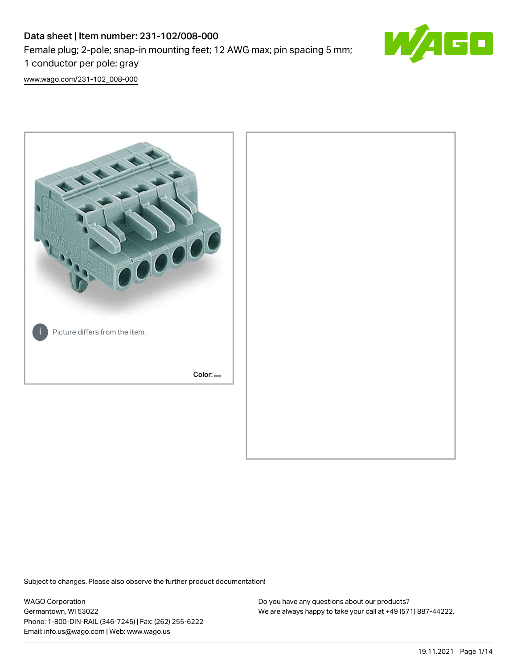# Data sheet | Item number: 231-102/008-000 Female plug; 2-pole; snap-in mounting feet; 12 AWG max; pin spacing 5 mm; 1 conductor per pole; gray



[www.wago.com/231-102\\_008-000](http://www.wago.com/231-102_008-000)



Subject to changes. Please also observe the further product documentation!

WAGO Corporation Germantown, WI 53022 Phone: 1-800-DIN-RAIL (346-7245) | Fax: (262) 255-6222 Email: info.us@wago.com | Web: www.wago.us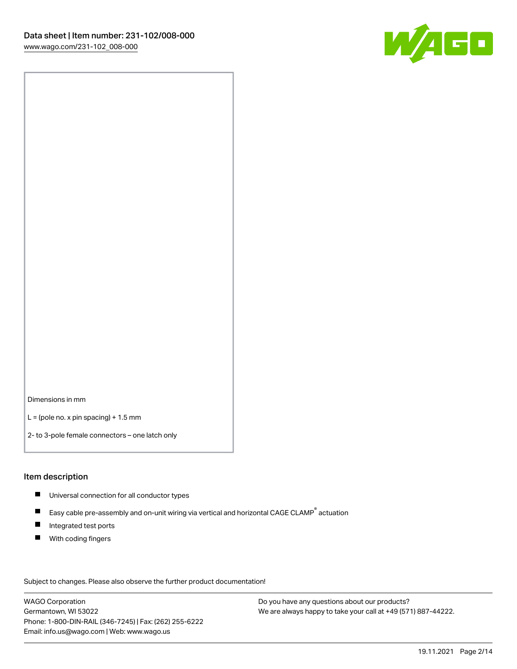

Dimensions in mm

 $L =$  (pole no. x pin spacing) + 1.5 mm

2- to 3-pole female connectors – one latch only

#### Item description

- **Universal connection for all conductor types**
- Easy cable pre-assembly and on-unit wiring via vertical and horizontal CAGE CLAMP<sup>®</sup> actuation  $\blacksquare$
- $\blacksquare$ Integrated test ports
- $\blacksquare$ With coding fingers

Subject to changes. Please also observe the further product documentation! Data

WAGO Corporation Germantown, WI 53022 Phone: 1-800-DIN-RAIL (346-7245) | Fax: (262) 255-6222 Email: info.us@wago.com | Web: www.wago.us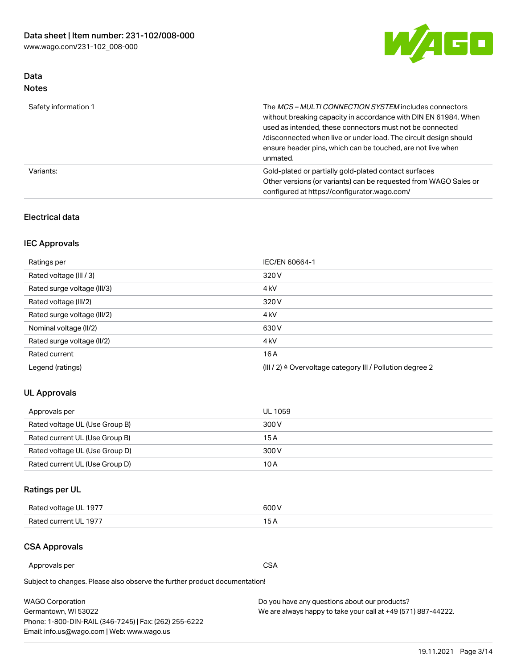

# Data Notes

| Safety information 1 | The MCS-MULTI CONNECTION SYSTEM includes connectors<br>without breaking capacity in accordance with DIN EN 61984. When<br>used as intended, these connectors must not be connected<br>/disconnected when live or under load. The circuit design should<br>ensure header pins, which can be touched, are not live when<br>unmated. |
|----------------------|-----------------------------------------------------------------------------------------------------------------------------------------------------------------------------------------------------------------------------------------------------------------------------------------------------------------------------------|
| Variants:            | Gold-plated or partially gold-plated contact surfaces<br>Other versions (or variants) can be requested from WAGO Sales or<br>configured at https://configurator.wago.com/                                                                                                                                                         |

# Electrical data

# IEC Approvals

| Ratings per                 | IEC/EN 60664-1                                                        |
|-----------------------------|-----------------------------------------------------------------------|
| Rated voltage (III / 3)     | 320 V                                                                 |
| Rated surge voltage (III/3) | 4 <sub>k</sub> V                                                      |
| Rated voltage (III/2)       | 320 V                                                                 |
| Rated surge voltage (III/2) | 4 <sub>k</sub> V                                                      |
| Nominal voltage (II/2)      | 630 V                                                                 |
| Rated surge voltage (II/2)  | 4 <sub>k</sub> V                                                      |
| Rated current               | 16A                                                                   |
| Legend (ratings)            | $(III / 2)$ $\triangle$ Overvoltage category III / Pollution degree 2 |

## UL Approvals

| Approvals per                  | UL 1059 |
|--------------------------------|---------|
| Rated voltage UL (Use Group B) | 300 V   |
| Rated current UL (Use Group B) | 15 A    |
| Rated voltage UL (Use Group D) | 300 V   |
| Rated current UL (Use Group D) | 10 A    |

# Ratings per UL

| Rated voltage UL 1977 | 300 V |
|-----------------------|-------|
| Rated current UL 1977 |       |

## CSA Approvals

Approvals per CSA

Subject to changes. Please also observe the further product documentation!

| <b>WAGO Corporation</b>                                | Do you have any questions about our products?                 |
|--------------------------------------------------------|---------------------------------------------------------------|
| Germantown, WI 53022                                   | We are always happy to take your call at +49 (571) 887-44222. |
| Phone: 1-800-DIN-RAIL (346-7245)   Fax: (262) 255-6222 |                                                               |
| Email: info.us@wago.com   Web: www.wago.us             |                                                               |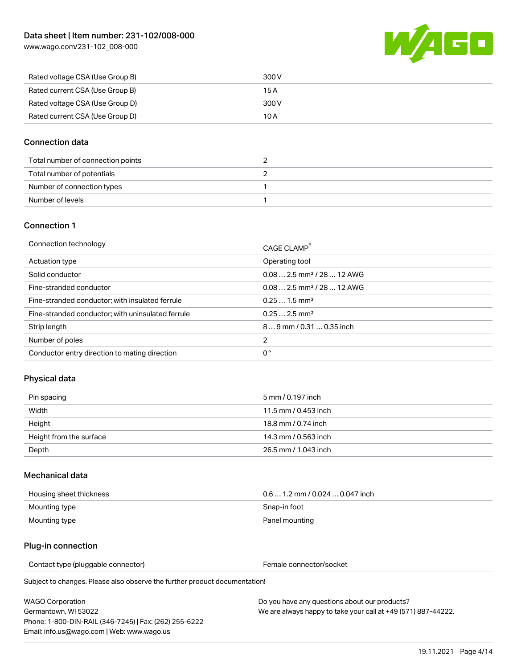WAGE

| Rated voltage CSA (Use Group B) | 300 V |
|---------------------------------|-------|
| Rated current CSA (Use Group B) | 15 A  |
| Rated voltage CSA (Use Group D) | 300 V |
| Rated current CSA (Use Group D) | 10 A  |

#### Connection data

| Total number of connection points |  |
|-----------------------------------|--|
| Total number of potentials        |  |
| Number of connection types        |  |
| Number of levels                  |  |

#### Connection 1

| Connection technology                             | CAGE CLAMP <sup>®</sup>                 |
|---------------------------------------------------|-----------------------------------------|
| Actuation type                                    | Operating tool                          |
| Solid conductor                                   | $0.082.5$ mm <sup>2</sup> / 28  12 AWG  |
| Fine-stranded conductor                           | $0.08$ 2.5 mm <sup>2</sup> / 28  12 AWG |
| Fine-stranded conductor; with insulated ferrule   | $0.251.5$ mm <sup>2</sup>               |
| Fine-stranded conductor; with uninsulated ferrule | $0.252.5$ mm <sup>2</sup>               |
| Strip length                                      | $89$ mm $/$ 0.31  0.35 inch             |
| Number of poles                                   | 2                                       |
| Conductor entry direction to mating direction     | 0°                                      |

## Physical data

| Pin spacing             | 5 mm / 0.197 inch    |
|-------------------------|----------------------|
| Width                   | 11.5 mm / 0.453 inch |
| Height                  | 18.8 mm / 0.74 inch  |
| Height from the surface | 14.3 mm / 0.563 inch |
| Depth                   | 26.5 mm / 1.043 inch |

#### Mechanical data

| Housing sheet thickness | $0.61.2$ mm / 0.024  0.047 inch |
|-------------------------|---------------------------------|
| Mounting type           | Snap-in foot                    |
| Mounting type           | Panel mounting                  |

#### Plug-in connection

Contact type (pluggable connector) example a set of the Female connector/socket

Subject to changes. Please also observe the further product documentation!

WAGO Corporation Germantown, WI 53022 Phone: 1-800-DIN-RAIL (346-7245) | Fax: (262) 255-6222 Email: info.us@wago.com | Web: www.wago.us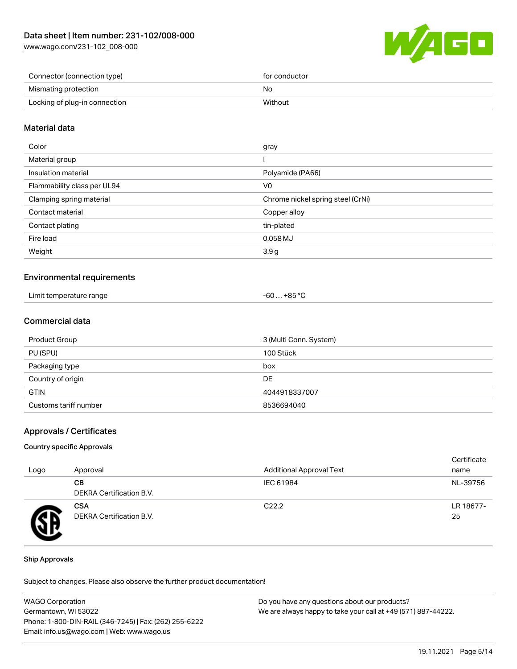[www.wago.com/231-102\\_008-000](http://www.wago.com/231-102_008-000)



| Connector (connection type)   | for conductor |
|-------------------------------|---------------|
| Mismating protection          | No            |
| Locking of plug-in connection | Without       |

#### Material data

| Color                       | gray                              |
|-----------------------------|-----------------------------------|
| Material group              |                                   |
| Insulation material         | Polyamide (PA66)                  |
| Flammability class per UL94 | V0                                |
| Clamping spring material    | Chrome nickel spring steel (CrNi) |
| Contact material            | Copper alloy                      |
| Contact plating             | tin-plated                        |
| Fire load                   | 0.058 MJ                          |
| Weight                      | 3.9 <sub>g</sub>                  |
|                             |                                   |

#### Environmental requirements

| Limit temperature range<br>. | $$ +85 ° $\cap$<br>-60 |
|------------------------------|------------------------|
|------------------------------|------------------------|

#### Commercial data

| Product Group         | 3 (Multi Conn. System) |
|-----------------------|------------------------|
| PU (SPU)              | 100 Stück              |
| Packaging type        | box                    |
| Country of origin     | DE                     |
| <b>GTIN</b>           | 4044918337007          |
| Customs tariff number | 8536694040             |

#### Approvals / Certificates

#### Country specific Approvals

| Logo | Approval                               | <b>Additional Approval Text</b> | Certificate<br>name |
|------|----------------------------------------|---------------------------------|---------------------|
|      | CВ<br><b>DEKRA Certification B.V.</b>  | IEC 61984                       | NL-39756            |
|      | <b>CSA</b><br>DEKRA Certification B.V. | C <sub>22.2</sub>               | LR 18677-<br>25     |

#### Ship Approvals

Subject to changes. Please also observe the further product documentation!

| <b>WAGO Corporation</b>                                | Do you have any questions about our products?                 |
|--------------------------------------------------------|---------------------------------------------------------------|
| Germantown, WI 53022                                   | We are always happy to take your call at +49 (571) 887-44222. |
| Phone: 1-800-DIN-RAIL (346-7245)   Fax: (262) 255-6222 |                                                               |
| Email: info.us@wago.com   Web: www.wago.us             |                                                               |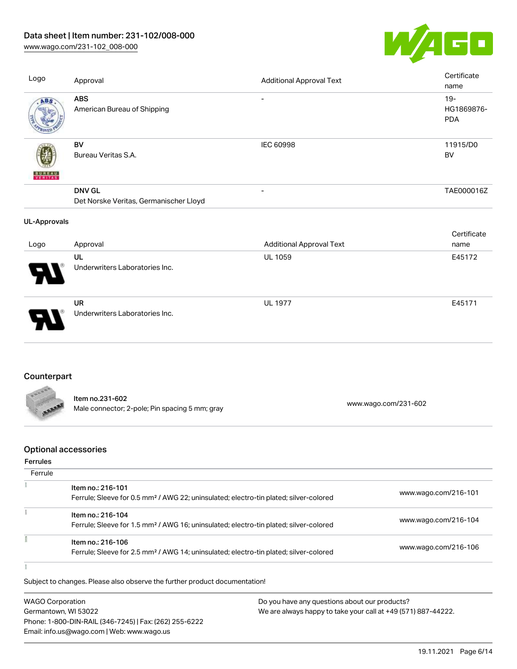[www.wago.com/231-102\\_008-000](http://www.wago.com/231-102_008-000)



| Logo                | Approval                                                | <b>Additional Approval Text</b> | Certificate<br>name                |
|---------------------|---------------------------------------------------------|---------------------------------|------------------------------------|
| ABS                 | <b>ABS</b><br>American Bureau of Shipping               |                                 | $19 -$<br>HG1869876-<br><b>PDA</b> |
| <b>BUNEAU</b>       | BV<br>Bureau Veritas S.A.                               | IEC 60998                       | 11915/D0<br>BV                     |
|                     | <b>DNV GL</b><br>Det Norske Veritas, Germanischer Lloyd | $\overline{\phantom{a}}$        | TAE000016Z                         |
| <b>UL-Approvals</b> |                                                         |                                 |                                    |
| Logo                | Approval                                                | <b>Additional Approval Text</b> | Certificate<br>name                |
|                     | UL<br>Underwriters Laboratories Inc.                    | UL 1059                         | E45172                             |
|                     | <b>UR</b><br>Underwriters Laboratories Inc.             | <b>UL 1977</b>                  | E45171                             |

# **Counterpart**

| FROOR       |                                                |                      |
|-------------|------------------------------------------------|----------------------|
|             | Item no.231-602                                |                      |
| <b>ABAR</b> | Male connector; 2-pole; Pin spacing 5 mm; gray | www.wago.com/231-602 |

# Optional accessories

#### Ferrules

f

| Ferrule |                                                                                                                        |                      |
|---------|------------------------------------------------------------------------------------------------------------------------|----------------------|
|         | Item no.: 216-101<br>Ferrule; Sleeve for 0.5 mm <sup>2</sup> / AWG 22; uninsulated; electro-tin plated; silver-colored | www.wago.com/216-101 |
|         | Item no.: 216-104<br>Ferrule; Sleeve for 1.5 mm <sup>2</sup> / AWG 16; uninsulated; electro-tin plated; silver-colored | www.wago.com/216-104 |
|         | Item no.: 216-106<br>Ferrule; Sleeve for 2.5 mm <sup>2</sup> / AWG 14; uninsulated; electro-tin plated; silver-colored | www.wago.com/216-106 |
|         |                                                                                                                        |                      |

Subject to changes. Please also observe the further product documentation!

| <b>WAGO Corporation</b>                                | Do you have any questions about our products?                 |
|--------------------------------------------------------|---------------------------------------------------------------|
| Germantown, WI 53022                                   | We are always happy to take your call at +49 (571) 887-44222. |
| Phone: 1-800-DIN-RAIL (346-7245)   Fax: (262) 255-6222 |                                                               |
| Email: info.us@wago.com   Web: www.wago.us             |                                                               |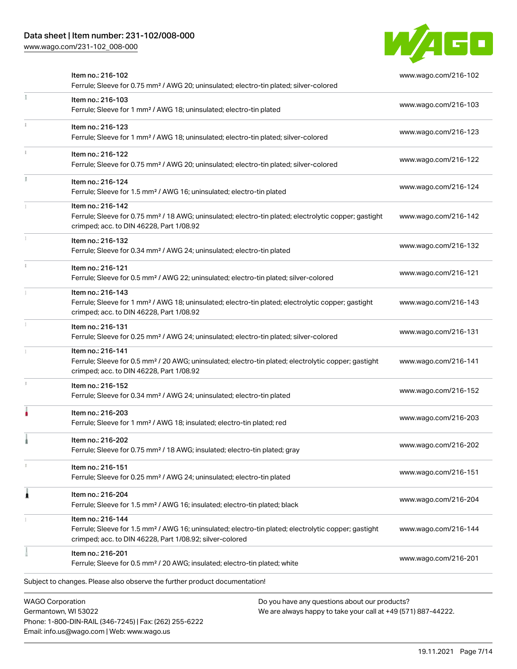Phone: 1-800-DIN-RAIL (346-7245) | Fax: (262) 255-6222

Email: info.us@wago.com | Web: www.wago.us

[www.wago.com/231-102\\_008-000](http://www.wago.com/231-102_008-000)



|                         | Item no.: 216-102<br>Ferrule; Sleeve for 0.75 mm <sup>2</sup> / AWG 20; uninsulated; electro-tin plated; silver-colored                                                                           |                                                                                                                | www.wago.com/216-102 |
|-------------------------|---------------------------------------------------------------------------------------------------------------------------------------------------------------------------------------------------|----------------------------------------------------------------------------------------------------------------|----------------------|
|                         | Item no.: 216-103<br>Ferrule; Sleeve for 1 mm <sup>2</sup> / AWG 18; uninsulated; electro-tin plated                                                                                              |                                                                                                                | www.wago.com/216-103 |
|                         | Item no.: 216-123<br>Ferrule; Sleeve for 1 mm <sup>2</sup> / AWG 18; uninsulated; electro-tin plated; silver-colored                                                                              |                                                                                                                | www.wago.com/216-123 |
|                         | Item no.: 216-122<br>Ferrule; Sleeve for 0.75 mm <sup>2</sup> / AWG 20; uninsulated; electro-tin plated; silver-colored                                                                           |                                                                                                                | www.wago.com/216-122 |
|                         | Item no.: 216-124<br>Ferrule; Sleeve for 1.5 mm <sup>2</sup> / AWG 16; uninsulated; electro-tin plated                                                                                            |                                                                                                                | www.wago.com/216-124 |
|                         | Item no.: 216-142<br>Ferrule; Sleeve for 0.75 mm <sup>2</sup> / 18 AWG; uninsulated; electro-tin plated; electrolytic copper; gastight<br>crimped; acc. to DIN 46228, Part 1/08.92                |                                                                                                                | www.wago.com/216-142 |
|                         | Item no.: 216-132<br>Ferrule; Sleeve for 0.34 mm <sup>2</sup> / AWG 24; uninsulated; electro-tin plated                                                                                           |                                                                                                                | www.wago.com/216-132 |
|                         | Item no.: 216-121<br>Ferrule; Sleeve for 0.5 mm <sup>2</sup> / AWG 22; uninsulated; electro-tin plated; silver-colored                                                                            |                                                                                                                | www.wago.com/216-121 |
|                         | Item no.: 216-143<br>Ferrule; Sleeve for 1 mm <sup>2</sup> / AWG 18; uninsulated; electro-tin plated; electrolytic copper; gastight<br>crimped; acc. to DIN 46228, Part 1/08.92                   |                                                                                                                | www.wago.com/216-143 |
|                         | Item no.: 216-131<br>Ferrule; Sleeve for 0.25 mm <sup>2</sup> / AWG 24; uninsulated; electro-tin plated; silver-colored                                                                           |                                                                                                                | www.wago.com/216-131 |
|                         | Item no.: 216-141<br>Ferrule; Sleeve for 0.5 mm <sup>2</sup> / 20 AWG; uninsulated; electro-tin plated; electrolytic copper; gastight<br>crimped; acc. to DIN 46228, Part 1/08.92                 |                                                                                                                | www.wago.com/216-141 |
|                         | Item no.: 216-152<br>Ferrule; Sleeve for 0.34 mm <sup>2</sup> / AWG 24; uninsulated; electro-tin plated                                                                                           |                                                                                                                | www.wago.com/216-152 |
|                         | Item no.: 216-203<br>Ferrule; Sleeve for 1 mm <sup>2</sup> / AWG 18; insulated; electro-tin plated; red                                                                                           |                                                                                                                | www.wago.com/216-203 |
|                         | Item no.: 216-202<br>Ferrule; Sleeve for 0.75 mm <sup>2</sup> / 18 AWG; insulated; electro-tin plated; gray                                                                                       |                                                                                                                | www.wago.com/216-202 |
|                         | Item no.: 216-151<br>Ferrule; Sleeve for 0.25 mm <sup>2</sup> / AWG 24; uninsulated; electro-tin plated                                                                                           |                                                                                                                | www.wago.com/216-151 |
|                         | Item no.: 216-204<br>Ferrule; Sleeve for 1.5 mm <sup>2</sup> / AWG 16; insulated; electro-tin plated; black                                                                                       |                                                                                                                | www.wago.com/216-204 |
|                         | Item no.: 216-144<br>Ferrule; Sleeve for 1.5 mm <sup>2</sup> / AWG 16; uninsulated; electro-tin plated; electrolytic copper; gastight<br>crimped; acc. to DIN 46228, Part 1/08.92; silver-colored |                                                                                                                | www.wago.com/216-144 |
|                         | Item no.: 216-201<br>Ferrule; Sleeve for 0.5 mm <sup>2</sup> / 20 AWG; insulated; electro-tin plated; white                                                                                       |                                                                                                                | www.wago.com/216-201 |
|                         | Subject to changes. Please also observe the further product documentation!                                                                                                                        |                                                                                                                |                      |
| <b>WAGO Corporation</b> | Germantown, WI 53022                                                                                                                                                                              | Do you have any questions about our products?<br>We are always happy to take your call at +49 (571) 887-44222. |                      |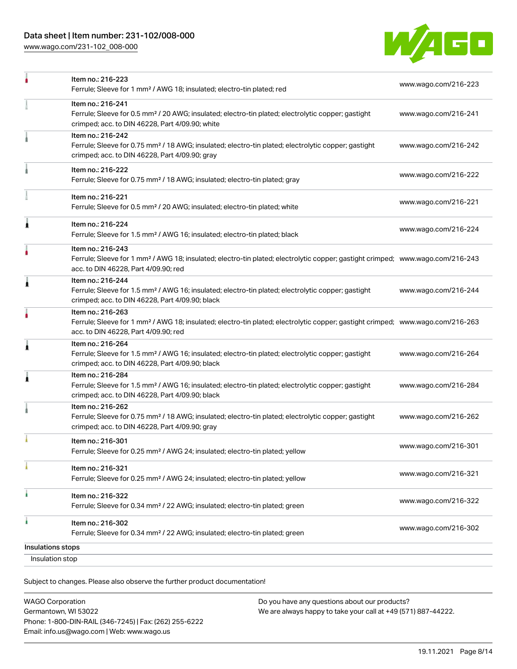[www.wago.com/231-102\\_008-000](http://www.wago.com/231-102_008-000)



|                   | Item no.: 216-223<br>Ferrule; Sleeve for 1 mm <sup>2</sup> / AWG 18; insulated; electro-tin plated; red                                                                                                 | www.wago.com/216-223 |
|-------------------|---------------------------------------------------------------------------------------------------------------------------------------------------------------------------------------------------------|----------------------|
|                   | Item no.: 216-241<br>Ferrule; Sleeve for 0.5 mm <sup>2</sup> / 20 AWG; insulated; electro-tin plated; electrolytic copper; gastight<br>crimped; acc. to DIN 46228, Part 4/09.90; white                  | www.wago.com/216-241 |
|                   | Item no.: 216-242<br>Ferrule; Sleeve for 0.75 mm <sup>2</sup> / 18 AWG; insulated; electro-tin plated; electrolytic copper; gastight<br>crimped; acc. to DIN 46228, Part 4/09.90; gray                  | www.wago.com/216-242 |
|                   | Item no.: 216-222<br>Ferrule; Sleeve for 0.75 mm <sup>2</sup> / 18 AWG; insulated; electro-tin plated; gray                                                                                             | www.wago.com/216-222 |
|                   | Item no.: 216-221<br>Ferrule; Sleeve for 0.5 mm <sup>2</sup> / 20 AWG; insulated; electro-tin plated; white                                                                                             | www.wago.com/216-221 |
| 1                 | Item no.: 216-224<br>Ferrule; Sleeve for 1.5 mm <sup>2</sup> / AWG 16; insulated; electro-tin plated; black                                                                                             | www.wago.com/216-224 |
|                   | Item no.: 216-243<br>Ferrule; Sleeve for 1 mm <sup>2</sup> / AWG 18; insulated; electro-tin plated; electrolytic copper; gastight crimped; www.wago.com/216-243<br>acc. to DIN 46228, Part 4/09.90; red |                      |
| 1                 | Item no.: 216-244<br>Ferrule; Sleeve for 1.5 mm <sup>2</sup> / AWG 16; insulated; electro-tin plated; electrolytic copper; gastight<br>crimped; acc. to DIN 46228, Part 4/09.90; black                  | www.wago.com/216-244 |
|                   | Item no.: 216-263<br>Ferrule; Sleeve for 1 mm <sup>2</sup> / AWG 18; insulated; electro-tin plated; electrolytic copper; gastight crimped; www.wago.com/216-263<br>acc. to DIN 46228, Part 4/09.90; red |                      |
| Â                 | Item no.: 216-264<br>Ferrule; Sleeve for 1.5 mm <sup>2</sup> / AWG 16; insulated; electro-tin plated; electrolytic copper; gastight<br>crimped; acc. to DIN 46228, Part 4/09.90; black                  | www.wago.com/216-264 |
| 1                 | Item no.: 216-284<br>Ferrule; Sleeve for 1.5 mm <sup>2</sup> / AWG 16; insulated; electro-tin plated; electrolytic copper; gastight<br>crimped; acc. to DIN 46228, Part 4/09.90; black                  | www.wago.com/216-284 |
|                   | Item no.: 216-262<br>Ferrule; Sleeve for 0.75 mm <sup>2</sup> / 18 AWG; insulated; electro-tin plated; electrolytic copper; gastight<br>crimped; acc. to DIN 46228, Part 4/09.90; gray                  | www.wago.com/216-262 |
|                   | Item no.: 216-301<br>Ferrule; Sleeve for 0.25 mm <sup>2</sup> / AWG 24; insulated; electro-tin plated; yellow                                                                                           | www.wago.com/216-301 |
|                   | Item no.: 216-321<br>Ferrule; Sleeve for 0.25 mm <sup>2</sup> / AWG 24; insulated; electro-tin plated; yellow                                                                                           | www.wago.com/216-321 |
|                   | Item no.: 216-322<br>Ferrule; Sleeve for 0.34 mm <sup>2</sup> / 22 AWG; insulated; electro-tin plated; green                                                                                            | www.wago.com/216-322 |
|                   | Item no.: 216-302<br>Ferrule; Sleeve for 0.34 mm <sup>2</sup> / 22 AWG; insulated; electro-tin plated; green                                                                                            | www.wago.com/216-302 |
| Insulations stops |                                                                                                                                                                                                         |                      |
| Insulation stop   |                                                                                                                                                                                                         |                      |

Subject to changes. Please also observe the further product documentation!

| <b>WAGO Corporation</b>                                |
|--------------------------------------------------------|
| Germantown, WI 53022                                   |
| Phone: 1-800-DIN-RAIL (346-7245)   Fax: (262) 255-6222 |
| Email: info.us@wago.com   Web: www.wago.us             |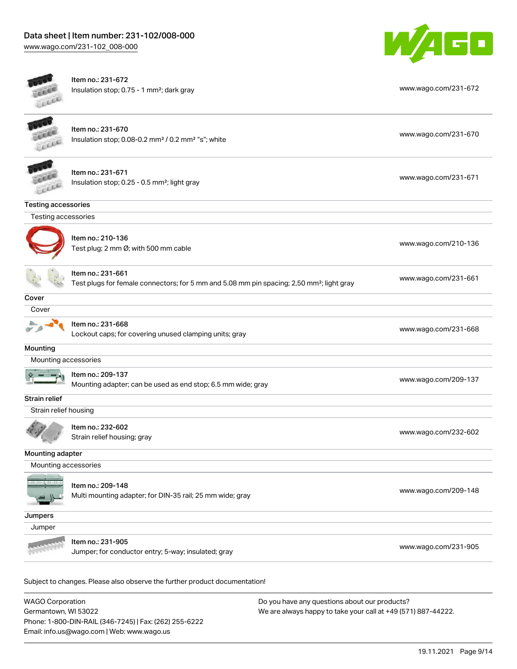

| cia                        | Item no.: 231-672<br>Insulation stop; 0.75 - 1 mm <sup>2</sup> ; dark gray                                                 | www.wago.com/231-672 |
|----------------------------|----------------------------------------------------------------------------------------------------------------------------|----------------------|
|                            | Item no.: 231-670<br>Insulation stop; 0.08-0.2 mm <sup>2</sup> / 0.2 mm <sup>2</sup> "s"; white                            | www.wago.com/231-670 |
|                            | Item no.: 231-671<br>Insulation stop; 0.25 - 0.5 mm <sup>2</sup> ; light gray                                              | www.wago.com/231-671 |
| <b>Testing accessories</b> |                                                                                                                            |                      |
| Testing accessories        |                                                                                                                            |                      |
|                            | Item no.: 210-136<br>Test plug; 2 mm Ø; with 500 mm cable                                                                  | www.wago.com/210-136 |
|                            | Item no.: 231-661<br>Test plugs for female connectors; for 5 mm and 5.08 mm pin spacing; 2,50 mm <sup>2</sup> ; light gray | www.wago.com/231-661 |
| Cover                      |                                                                                                                            |                      |
| Cover                      |                                                                                                                            |                      |
|                            | Item no.: 231-668<br>Lockout caps; for covering unused clamping units; gray                                                | www.wago.com/231-668 |
| Mounting                   |                                                                                                                            |                      |
| Mounting accessories       |                                                                                                                            |                      |
|                            | Item no.: 209-137<br>Mounting adapter; can be used as end stop; 6.5 mm wide; gray                                          | www.wago.com/209-137 |
| Strain relief              |                                                                                                                            |                      |
| Strain relief housing      |                                                                                                                            |                      |
|                            | Item no.: 232-602<br>Strain relief housing; gray                                                                           | www.wago.com/232-602 |
| Mounting adapter           |                                                                                                                            |                      |
| Mounting accessories       |                                                                                                                            |                      |
|                            | Item no.: 209-148<br>Multi mounting adapter; for DIN-35 rail; 25 mm wide; gray                                             | www.wago.com/209-148 |
| Jumpers                    |                                                                                                                            |                      |
| Jumper                     |                                                                                                                            |                      |
|                            | Item no.: 231-905<br>Jumper; for conductor entry; 5-way; insulated; gray                                                   | www.wago.com/231-905 |

WAGO Corporation Germantown, WI 53022 Phone: 1-800-DIN-RAIL (346-7245) | Fax: (262) 255-6222 Email: info.us@wago.com | Web: www.wago.us Do you have any questions about our products? We are always happy to take your call at +49 (571) 887-44222.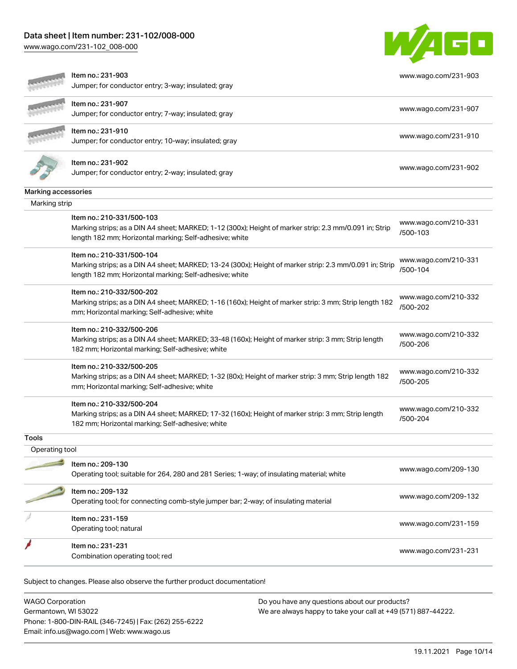[www.wago.com/231-102\\_008-000](http://www.wago.com/231-102_008-000)



|                     | Item no.: 231-903<br>Jumper; for conductor entry; 3-way; insulated; gray                                                                                           | www.wago.com/231-903             |
|---------------------|--------------------------------------------------------------------------------------------------------------------------------------------------------------------|----------------------------------|
|                     | Item no.: 231-907                                                                                                                                                  |                                  |
|                     | Jumper; for conductor entry; 7-way; insulated; gray                                                                                                                | www.wago.com/231-907             |
|                     | Item no.: 231-910                                                                                                                                                  |                                  |
|                     | Jumper; for conductor entry; 10-way; insulated; gray                                                                                                               | www.wago.com/231-910             |
|                     | Item no.: 231-902<br>Jumper; for conductor entry; 2-way; insulated; gray                                                                                           | www.wago.com/231-902             |
| Marking accessories |                                                                                                                                                                    |                                  |
| Marking strip       |                                                                                                                                                                    |                                  |
|                     | Item no.: 210-331/500-103                                                                                                                                          | www.wago.com/210-331             |
|                     | Marking strips; as a DIN A4 sheet; MARKED; 1-12 (300x); Height of marker strip: 2.3 mm/0.091 in; Strip<br>length 182 mm; Horizontal marking; Self-adhesive; white  | /500-103                         |
|                     | Item no.: 210-331/500-104                                                                                                                                          | www.wago.com/210-331             |
|                     | Marking strips; as a DIN A4 sheet; MARKED; 13-24 (300x); Height of marker strip: 2.3 mm/0.091 in; Strip<br>length 182 mm; Horizontal marking; Self-adhesive; white | /500-104                         |
|                     | Item no.: 210-332/500-202                                                                                                                                          | www.wago.com/210-332             |
|                     | Marking strips; as a DIN A4 sheet; MARKED; 1-16 (160x); Height of marker strip: 3 mm; Strip length 182<br>mm; Horizontal marking; Self-adhesive; white             | /500-202                         |
|                     | Item no.: 210-332/500-206                                                                                                                                          | www.wago.com/210-332             |
|                     | Marking strips; as a DIN A4 sheet; MARKED; 33-48 (160x); Height of marker strip: 3 mm; Strip length<br>182 mm; Horizontal marking; Self-adhesive; white            | /500-206                         |
|                     | Item no.: 210-332/500-205                                                                                                                                          | www.wago.com/210-332             |
|                     | Marking strips; as a DIN A4 sheet; MARKED; 1-32 (80x); Height of marker strip: 3 mm; Strip length 182<br>mm; Horizontal marking; Self-adhesive; white              | /500-205                         |
|                     | Item no.: 210-332/500-204                                                                                                                                          |                                  |
|                     | Marking strips; as a DIN A4 sheet; MARKED; 17-32 (160x); Height of marker strip: 3 mm; Strip length<br>182 mm; Horizontal marking; Self-adhesive; white            | www.wago.com/210-332<br>/500-204 |
| Tools               |                                                                                                                                                                    |                                  |
| Operating tool      |                                                                                                                                                                    |                                  |
|                     | Item no.: 209-130<br>Operating tool; suitable for 264, 280 and 281 Series; 1-way; of insulating material; white                                                    | www.wago.com/209-130             |
|                     | ltem no.: 209-132                                                                                                                                                  |                                  |
|                     | Operating tool; for connecting comb-style jumper bar; 2-way; of insulating material                                                                                | www.wago.com/209-132             |
|                     | Item no.: 231-159                                                                                                                                                  |                                  |
|                     | Operating tool; natural                                                                                                                                            | www.wago.com/231-159             |
|                     | Item no.: 231-231                                                                                                                                                  | www.wago.com/231-231             |
|                     | Combination operating tool; red                                                                                                                                    |                                  |

WAGO Corporation Germantown, WI 53022 Phone: 1-800-DIN-RAIL (346-7245) | Fax: (262) 255-6222 Email: info.us@wago.com | Web: www.wago.us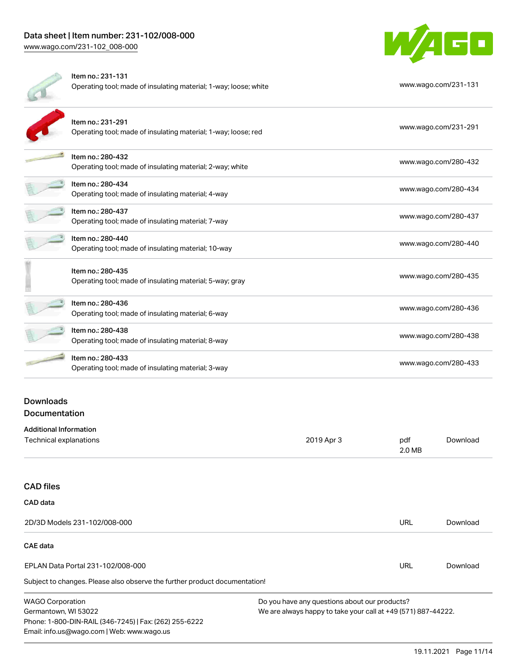

| Item no.: 231-131<br>Operating tool; made of insulating material; 1-way; loose; white | www.wago.com/231-131 |
|---------------------------------------------------------------------------------------|----------------------|
| Item no.: 231-291<br>Operating tool; made of insulating material; 1-way; loose; red   | www.wago.com/231-291 |
| Item no.: 280-432<br>Operating tool; made of insulating material; 2-way; white        | www.wago.com/280-432 |
| Item no.: 280-434<br>Operating tool; made of insulating material; 4-way               | www.wago.com/280-434 |
| Item no.: 280-437<br>Operating tool; made of insulating material; 7-way               | www.wago.com/280-437 |
| Item no.: 280-440<br>Operating tool; made of insulating material; 10-way              | www.wago.com/280-440 |
| Item no.: 280-435<br>Operating tool; made of insulating material; 5-way; gray         | www.wago.com/280-435 |
| Item no.: 280-436<br>Operating tool; made of insulating material; 6-way               | www.wago.com/280-436 |
| Item no.: 280-438<br>Operating tool; made of insulating material; 8-way               | www.wago.com/280-438 |
| Item no.: 280-433<br>Operating tool; made of insulating material; 3-way               | www.wago.com/280-433 |
|                                                                                       |                      |

## **Downloads Documentation**

| <b>Additional Information</b>     |            |               | Download |
|-----------------------------------|------------|---------------|----------|
| Technical explanations            | 2019 Apr 3 | pdf<br>2.0 MB |          |
|                                   |            |               |          |
| <b>CAD files</b>                  |            |               |          |
| CAD data                          |            |               |          |
| 2D/3D Models 231-102/008-000      |            | URL           | Download |
| CAE data                          |            |               |          |
| EPLAN Data Portal 231-102/008-000 |            | URL           | Download |

Subject to changes. Please also observe the further product documentation!

WAGO Corporation Germantown, WI 53022 Phone: 1-800-DIN-RAIL (346-7245) | Fax: (262) 255-6222 Email: info.us@wago.com | Web: www.wago.us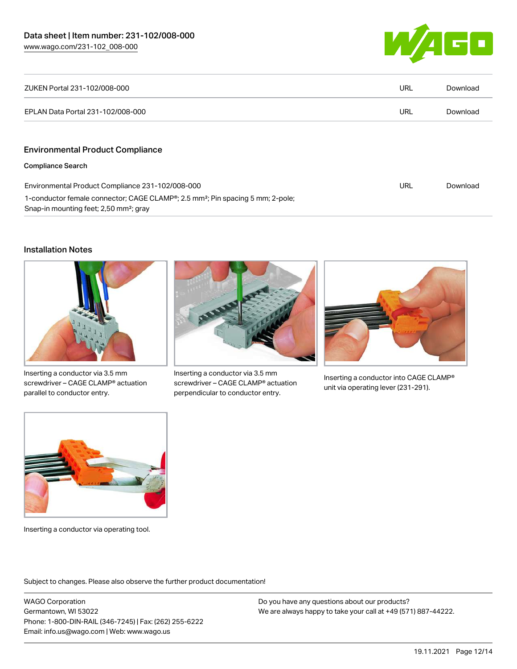

| ZUKEN Portal 231-102/008-000                                                                                                                                  | URL | Download |
|---------------------------------------------------------------------------------------------------------------------------------------------------------------|-----|----------|
| EPLAN Data Portal 231-102/008-000                                                                                                                             | URL | Download |
| <b>Environmental Product Compliance</b>                                                                                                                       |     |          |
| <b>Compliance Search</b>                                                                                                                                      |     |          |
| Environmental Product Compliance 231-102/008-000                                                                                                              | URL | Download |
| 1-conductor female connector; CAGE CLAMP <sup>®</sup> ; 2.5 mm <sup>2</sup> ; Pin spacing 5 mm; 2-pole;<br>Snap-in mounting feet; 2,50 mm <sup>2</sup> ; gray |     |          |

#### Installation Notes



Inserting a conductor via 3.5 mm screwdriver – CAGE CLAMP® actuation parallel to conductor entry.



Inserting a conductor via 3.5 mm screwdriver – CAGE CLAMP® actuation perpendicular to conductor entry.



Inserting a conductor into CAGE CLAMP® unit via operating lever (231-291).



Inserting a conductor via operating tool.

Subject to changes. Please also observe the further product documentation!

WAGO Corporation Germantown, WI 53022 Phone: 1-800-DIN-RAIL (346-7245) | Fax: (262) 255-6222 Email: info.us@wago.com | Web: www.wago.us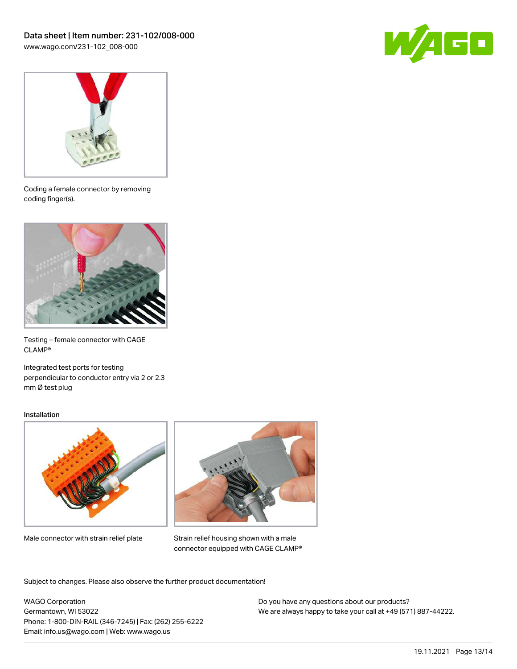



Coding a female connector by removing coding finger(s).



Testing – female connector with CAGE CLAMP®

Integrated test ports for testing perpendicular to conductor entry via 2 or 2.3 mm Ø test plug

#### Installation



Male connector with strain relief plate



Strain relief housing shown with a male connector equipped with CAGE CLAMP®

Subject to changes. Please also observe the further product documentation!

WAGO Corporation Germantown, WI 53022 Phone: 1-800-DIN-RAIL (346-7245) | Fax: (262) 255-6222 Email: info.us@wago.com | Web: www.wago.us